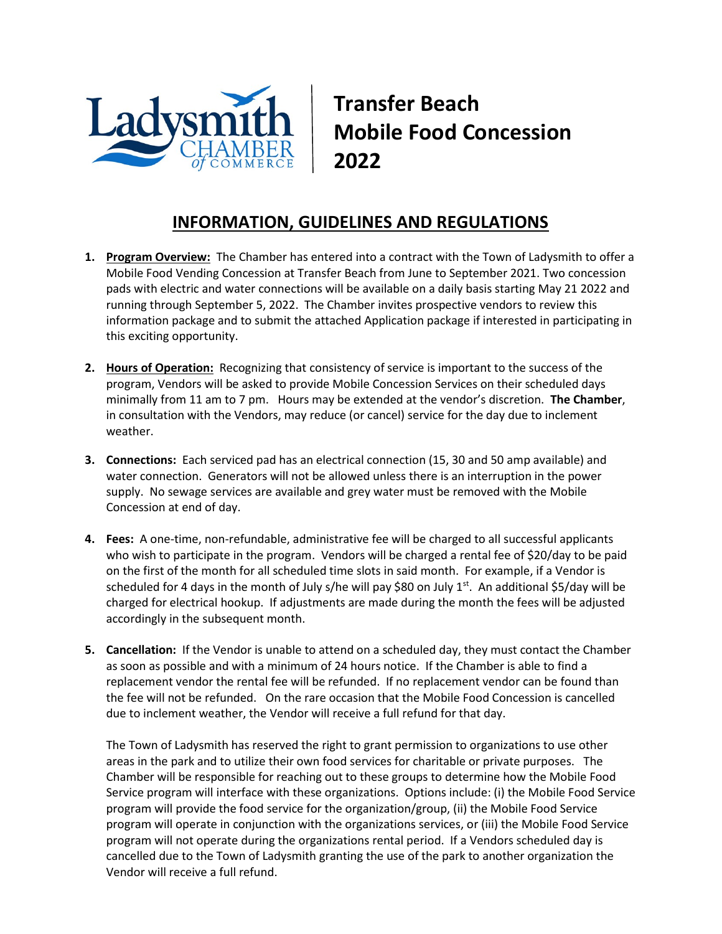

**Transfer Beach Mobile Food Concession 2022**

## **INFORMATION, GUIDELINES AND REGULATIONS**

- **1. Program Overview:** The Chamber has entered into a contract with the Town of Ladysmith to offer a Mobile Food Vending Concession at Transfer Beach from June to September 2021. Two concession pads with electric and water connections will be available on a daily basis starting May 21 2022 and running through September 5, 2022. The Chamber invites prospective vendors to review this information package and to submit the attached Application package if interested in participating in this exciting opportunity.
- **2. Hours of Operation:** Recognizing that consistency of service is important to the success of the program, Vendors will be asked to provide Mobile Concession Services on their scheduled days minimally from 11 am to 7 pm. Hours may be extended at the vendor's discretion. **The Chamber**, in consultation with the Vendors, may reduce (or cancel) service for the day due to inclement weather.
- **3. Connections:** Each serviced pad has an electrical connection (15, 30 and 50 amp available) and water connection. Generators will not be allowed unless there is an interruption in the power supply. No sewage services are available and grey water must be removed with the Mobile Concession at end of day.
- **4. Fees:** A one-time, non-refundable, administrative fee will be charged to all successful applicants who wish to participate in the program. Vendors will be charged a rental fee of \$20/day to be paid on the first of the month for all scheduled time slots in said month. For example, if a Vendor is scheduled for 4 days in the month of July s/he will pay \$80 on July  $1<sup>st</sup>$ . An additional \$5/day will be charged for electrical hookup. If adjustments are made during the month the fees will be adjusted accordingly in the subsequent month.
- **5. Cancellation:** If the Vendor is unable to attend on a scheduled day, they must contact the Chamber as soon as possible and with a minimum of 24 hours notice. If the Chamber is able to find a replacement vendor the rental fee will be refunded. If no replacement vendor can be found than the fee will not be refunded. On the rare occasion that the Mobile Food Concession is cancelled due to inclement weather, the Vendor will receive a full refund for that day.

The Town of Ladysmith has reserved the right to grant permission to organizations to use other areas in the park and to utilize their own food services for charitable or private purposes. The Chamber will be responsible for reaching out to these groups to determine how the Mobile Food Service program will interface with these organizations. Options include: (i) the Mobile Food Service program will provide the food service for the organization/group, (ii) the Mobile Food Service program will operate in conjunction with the organizations services, or (iii) the Mobile Food Service program will not operate during the organizations rental period. If a Vendors scheduled day is cancelled due to the Town of Ladysmith granting the use of the park to another organization the Vendor will receive a full refund.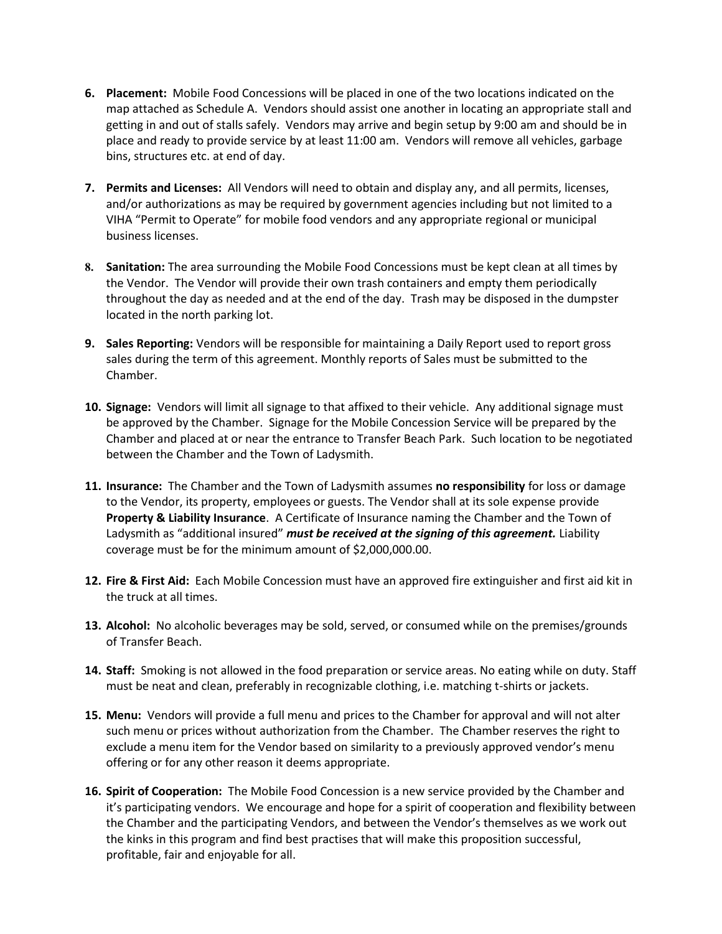- **6. Placement:** Mobile Food Concessions will be placed in one of the two locations indicated on the map attached as Schedule A. Vendors should assist one another in locating an appropriate stall and getting in and out of stalls safely. Vendors may arrive and begin setup by 9:00 am and should be in place and ready to provide service by at least 11:00 am. Vendors will remove all vehicles, garbage bins, structures etc. at end of day.
- **7. Permits and Licenses:** All Vendors will need to obtain and display any, and all permits, licenses, and/or authorizations as may be required by government agencies including but not limited to a VIHA "Permit to Operate" for mobile food vendors and any appropriate regional or municipal business licenses.
- **8. Sanitation:** The area surrounding the Mobile Food Concessions must be kept clean at all times by the Vendor. The Vendor will provide their own trash containers and empty them periodically throughout the day as needed and at the end of the day. Trash may be disposed in the dumpster located in the north parking lot.
- **9. Sales Reporting:** Vendors will be responsible for maintaining a Daily Report used to report gross sales during the term of this agreement. Monthly reports of Sales must be submitted to the Chamber.
- **10. Signage:** Vendors will limit all signage to that affixed to their vehicle. Any additional signage must be approved by the Chamber. Signage for the Mobile Concession Service will be prepared by the Chamber and placed at or near the entrance to Transfer Beach Park. Such location to be negotiated between the Chamber and the Town of Ladysmith.
- **11. Insurance:** The Chamber and the Town of Ladysmith assumes **no responsibility** for loss or damage to the Vendor, its property, employees or guests. The Vendor shall at its sole expense provide **Property & Liability Insurance**. A Certificate of Insurance naming the Chamber and the Town of Ladysmith as "additional insured" *must be received at the signing of this agreement.* Liability coverage must be for the minimum amount of \$2,000,000.00.
- **12. Fire & First Aid:** Each Mobile Concession must have an approved fire extinguisher and first aid kit in the truck at all times.
- **13. Alcohol:** No alcoholic beverages may be sold, served, or consumed while on the premises/grounds of Transfer Beach.
- **14. Staff:** Smoking is not allowed in the food preparation or service areas. No eating while on duty. Staff must be neat and clean, preferably in recognizable clothing, i.e. matching t-shirts or jackets.
- **15. Menu:** Vendors will provide a full menu and prices to the Chamber for approval and will not alter such menu or prices without authorization from the Chamber. The Chamber reserves the right to exclude a menu item for the Vendor based on similarity to a previously approved vendor's menu offering or for any other reason it deems appropriate.
- **16. Spirit of Cooperation:** The Mobile Food Concession is a new service provided by the Chamber and it's participating vendors. We encourage and hope for a spirit of cooperation and flexibility between the Chamber and the participating Vendors, and between the Vendor's themselves as we work out the kinks in this program and find best practises that will make this proposition successful, profitable, fair and enjoyable for all.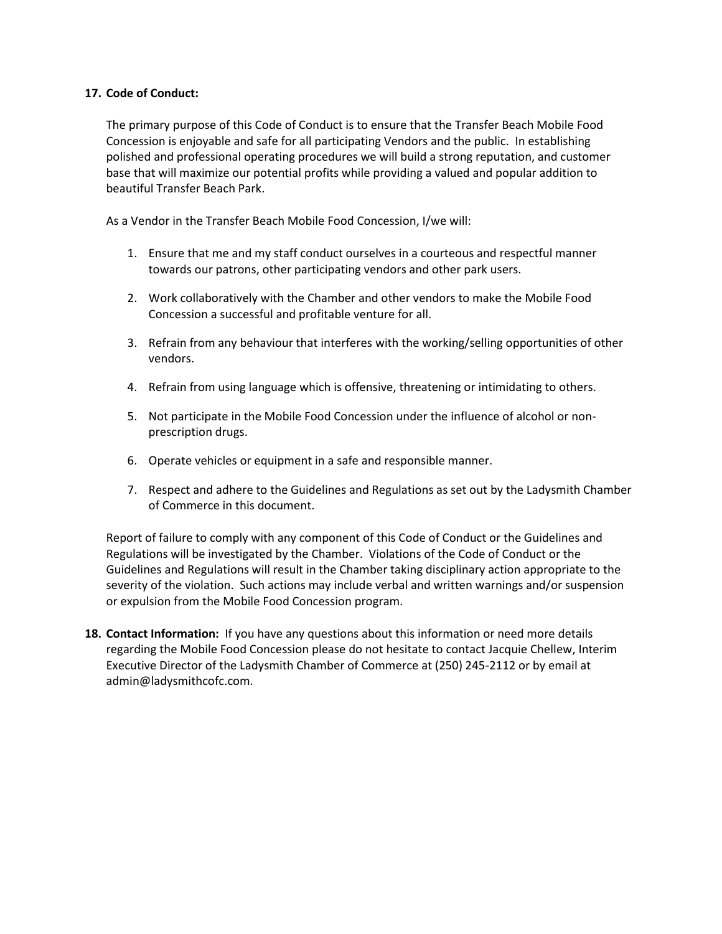## **17. Code of Conduct:**

The primary purpose of this Code of Conduct is to ensure that the Transfer Beach Mobile Food Concession is enjoyable and safe for all participating Vendors and the public. In establishing polished and professional operating procedures we will build a strong reputation, and customer base that will maximize our potential profits while providing a valued and popular addition to beautiful Transfer Beach Park.

As a Vendor in the Transfer Beach Mobile Food Concession, I/we will:

- 1. Ensure that me and my staff conduct ourselves in a courteous and respectful manner towards our patrons, other participating vendors and other park users.
- 2. Work collaboratively with the Chamber and other vendors to make the Mobile Food Concession a successful and profitable venture for all.
- 3. Refrain from any behaviour that interferes with the working/selling opportunities of other vendors.
- 4. Refrain from using language which is offensive, threatening or intimidating to others.
- 5. Not participate in the Mobile Food Concession under the influence of alcohol or nonprescription drugs.
- 6. Operate vehicles or equipment in a safe and responsible manner.
- 7. Respect and adhere to the Guidelines and Regulations as set out by the Ladysmith Chamber of Commerce in this document.

Report of failure to comply with any component of this Code of Conduct or the Guidelines and Regulations will be investigated by the Chamber. Violations of the Code of Conduct or the Guidelines and Regulations will result in the Chamber taking disciplinary action appropriate to the severity of the violation. Such actions may include verbal and written warnings and/or suspension or expulsion from the Mobile Food Concession program.

**18. Contact Information:** If you have any questions about this information or need more details regarding the Mobile Food Concession please do not hesitate to contact Jacquie Chellew, Interim Executive Director of the Ladysmith Chamber of Commerce at (250) 245-2112 or by email at admin@ladysmithcofc.com.